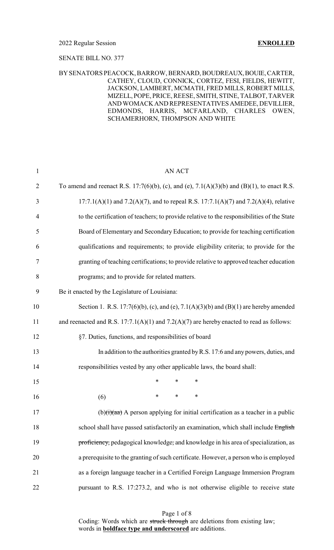### SENATE BILL NO. 377

### BYSENATORS PEACOCK, BARROW, BERNARD, BOUDREAUX,BOUIE,CARTER, CATHEY, CLOUD, CONNICK, CORTEZ, FESI, FIELDS, HEWITT, JACKSON, LAMBERT, MCMATH, FRED MILLS, ROBERT MILLS, MIZELL, POPE, PRICE, REESE, SMITH, STINE, TALBOT, TARVER AND WOMACK AND REPRESENTATIVESAMEDEE, DEVILLIER, EDMONDS, HARRIS, MCFARLAND, CHARLES OWEN, SCHAMERHORN, THOMPSON AND WHITE

| $\mathbf{1}$   | <b>AN ACT</b>                                                                                            |
|----------------|----------------------------------------------------------------------------------------------------------|
| $\overline{2}$ | To amend and reenact R.S. 17:7(6)(b), (c), and (e), 7.1(A)(3)(b) and (B)(1), to enact R.S.               |
| 3              | $17:7.1(A)(1)$ and $7.2(A)(7)$ , and to repeal R.S. $17:7.1(A)(7)$ and $7.2(A)(4)$ , relative            |
| 4              | to the certification of teachers; to provide relative to the responsibilities of the State               |
| 5              | Board of Elementary and Secondary Education; to provide for teaching certification                       |
| 6              | qualifications and requirements; to provide eligibility criteria; to provide for the                     |
| 7              | granting of teaching certifications; to provide relative to approved teacher education                   |
| 8              | programs; and to provide for related matters.                                                            |
| 9              | Be it enacted by the Legislature of Louisiana:                                                           |
| 10             | Section 1. R.S. 17:7(6)(b), (c), and (e), 7.1(A)(3)(b) and (B)(1) are hereby amended                     |
| 11             | and reenacted and R.S. $17:7.1(A)(1)$ and $7.2(A)(7)$ are hereby enacted to read as follows:             |
| 12             | §7. Duties, functions, and responsibilities of board                                                     |
| 13             | In addition to the authorities granted by R.S. 17:6 and any powers, duties, and                          |
| 14             | responsibilities vested by any other applicable laws, the board shall:                                   |
| 15             | $\ast$<br>$\ast$<br>∗                                                                                    |
| 16             | $\ast$<br>∗<br>∗<br>(6)                                                                                  |
| 17             | (b) $\left(\frac{1}{1}\right)$ (aa) A person applying for initial certification as a teacher in a public |
| 18             | school shall have passed satisfactorily an examination, which shall include English                      |
| 19             | proficiency, pedagogical knowledge, and knowledge in his area of specialization, as                      |
| 20             | a prerequisite to the granting of such certificate. However, a person who is employed                    |
| 21             | as a foreign language teacher in a Certified Foreign Language Immersion Program                          |
| 22             | pursuant to R.S. 17:273.2, and who is not otherwise eligible to receive state                            |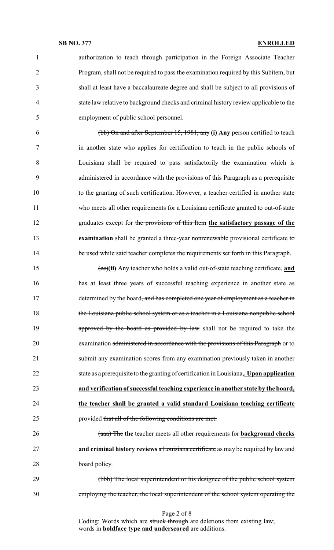authorization to teach through participation in the Foreign Associate Teacher Program, shall not be required to pass the examination required by this Subitem, but shall at least have a baccalaureate degree and shall be subject to all provisions of state law relative to background checks and criminal history review applicable to the employment of public school personnel.

 (bb) On and after September 15, 1981, any **(i) Any** person certified to teach in another state who applies for certification to teach in the public schools of Louisiana shall be required to pass satisfactorily the examination which is administered in accordance with the provisions of this Paragraph as a prerequisite to the granting of such certification. However, a teacher certified in another state who meets all other requirements for a Louisiana certificate granted to out-of-state graduates except for the provisions of this Item **the satisfactory passage of the examination** shall be granted a three-year nonrenewable provisional certificate to 14 be used while said teacher completes the requirements set forth in this Paragraph.

 (cc)**(ii)** Any teacher who holds a valid out-of-state teaching certificate, **and** has at least three years of successful teaching experience in another state as 17 determined by the board<del>, and has completed one year of employment as a teacher in</del> the Louisiana public school system or as a teacher in a Louisiana nonpublic school **approved by the board as provided by law** shall not be required to take the 20 examination administered in accordance with the provisions of this Paragraph or to submit any examination scores from any examination previously taken in another state as a prerequisite to the granting of certification in Louisiana,**. Upon application and verification ofsuccessful teaching experience in another state by the board, the teacher shall be granted a valid standard Louisiana teaching certificate** 25 provided that all of the following conditions are met:

 (aaa) The **the** teacher meets all other requirements for **background checks and criminal history reviews** a Louisiana certificate as may be required by law and board policy.

 (bbb) The local superintendent or his designee of the public school system employing the teacher, the local superintendent of the school system operating the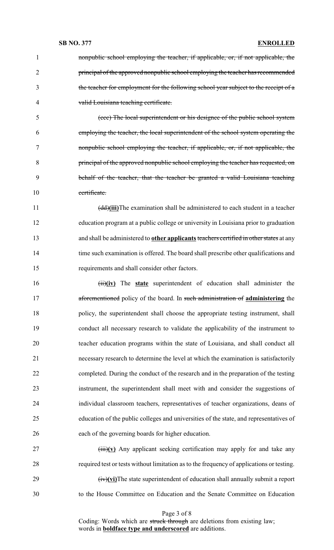nonpublic school employing the teacher, if applicable, or, if not applicable, the principal of the approved nonpublic school employing the teacher has recommended the teacher for employment for the following school year subject to the receipt of a valid Louisiana teaching certificate.

 (ccc) The local superintendent or his designee of the public school system employing the teacher, the local superintendent of the school system operating the nonpublic school employing the teacher, if applicable, or, if not applicable, the principal of the approved nonpublic school employing the teacher has requested, on behalf of the teacher, that the teacher be granted a valid Louisiana teaching certificate.

 (dd)**(iii)**The examination shall be administered to each student in a teacher education program at a public college or university in Louisiana prior to graduation 13 and shall be administered to **other applicants** teachers certified in other states at any time such examination is offered. The board shall prescribe other qualifications and requirements and shall consider other factors.

 (ii)**(iv)** The **state** superintendent of education shall administer the aforementioned policy of the board. In such administration of **administering** the policy, the superintendent shall choose the appropriate testing instrument, shall conduct all necessary research to validate the applicability of the instrument to teacher education programs within the state of Louisiana, and shall conduct all necessary research to determine the level at which the examination is satisfactorily completed. During the conduct of the research and in the preparation of the testing instrument, the superintendent shall meet with and consider the suggestions of individual classroom teachers, representatives of teacher organizations, deans of education of the public colleges and universities of the state, and representatives of each of the governing boards for higher education.

 (iii)**(v)** Any applicant seeking certification may apply for and take any required test or tests without limitation as to the frequency of applications or testing. (iv)**(vi)**The state superintendent of education shall annually submit a report to the House Committee on Education and the Senate Committee on Education

Page 3 of 8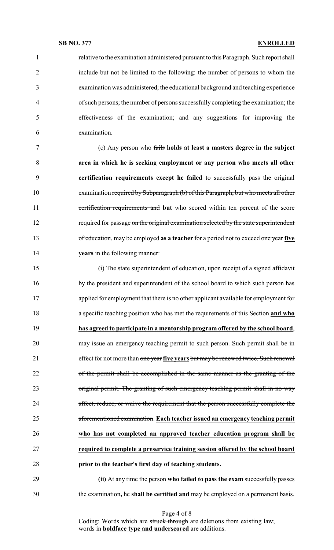relative to the examination administered pursuant to this Paragraph. Such report shall include but not be limited to the following: the number of persons to whom the examination was administered; the educational background and teaching experience of such persons; the number of persons successfully completing the examination; the effectiveness of the examination; and any suggestions for improving the examination. (c) Any person who fails **holds at least a masters degree in the subject area in which he is seeking employment or any person who meets all other certification requirements except he failed** to successfully pass the original 10 examination required by Subparagraph (b) of this Paragraph, but who meets all other certification requirements and **but** who scored within ten percent of the score 12 required for passage on the original examination selected by the state superintendent of education, may be employed **as a teacher** for a period not to exceed one year **five years** in the following manner: (i) The state superintendent of education, upon receipt of a signed affidavit by the president and superintendent of the school board to which such person has applied for employment that there is no other applicant available for employment for a specific teaching position who has met the requirements of this Section **and who has agreed to participate in a mentorship program offered by the school board**, may issue an emergency teaching permit to such person. Such permit shall be in effect for not more than one year **five years** but may be renewed twice. Such renewal of the permit shall be accomplished in the same manner as the granting of the original permit. The granting of such emergency teaching permit shall in no way affect, reduce, or waive the requirement that the person successfully complete the aforementioned examination. **Each teacher issued an emergency teaching permit who has not completed an approved teacher education program shall be required to complete a preservice training session offered by the school board prior to the teacher's first day of teaching students. (ii)** At any time the person **who failed to pass the exam** successfully passes the examination**,** he **shall be certified and** may be employed on a permanent basis.

Page 4 of 8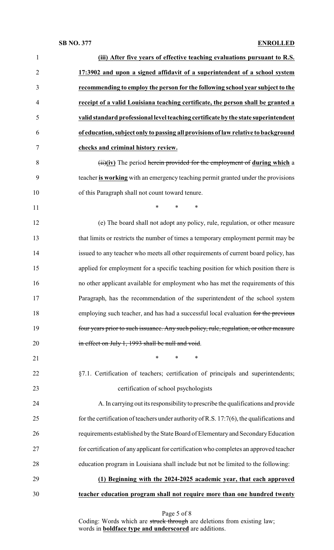| $\mathbf{1}$   | (iii) After five years of effective teaching evaluations pursuant to R.S.                    |
|----------------|----------------------------------------------------------------------------------------------|
| $\overline{2}$ | 17:3902 and upon a signed affidavit of a superintendent of a school system                   |
| 3              | recommending to employ the person for the following school year subject to the               |
| $\overline{4}$ | receipt of a valid Louisiana teaching certificate, the person shall be granted a             |
| 5              | valid standard professional level teaching certificate by the state superintendent           |
| 6              | of education, subject only to passing all provisions of law relative to background           |
| 7              | checks and criminal history review.                                                          |
| 8              | $(ii)(iv)$ The period herein provided for the employment of during which a                   |
| 9              | teacher is working with an emergency teaching permit granted under the provisions            |
| 10             | of this Paragraph shall not count toward tenure.                                             |
| 11             | *<br>$\ast$<br>*                                                                             |
| 12             | (e) The board shall not adopt any policy, rule, regulation, or other measure                 |
| 13             | that limits or restricts the number of times a temporary employment permit may be            |
| 14             | issued to any teacher who meets all other requirements of current board policy, has          |
| 15             | applied for employment for a specific teaching position for which position there is          |
| 16             | no other applicant available for employment who has met the requirements of this             |
| 17             | Paragraph, has the recommendation of the superintendent of the school system                 |
| 18             | employing such teacher, and has had a successful local evaluation for the previous           |
| 19             | four years prior to such issuance. Any such policy, rule, regulation, or other measure       |
| 20             | in effect on July 1, 1993 shall be null and void.                                            |
| 21             | $\ast$<br>$\ast$<br>$\ast$                                                                   |
| 22             | §7.1. Certification of teachers; certification of principals and superintendents;            |
| 23             | certification of school psychologists                                                        |
| 24             | A. In carrying out its responsibility to prescribe the qualifications and provide            |
| 25             | for the certification of teachers under authority of R.S. $17:7(6)$ , the qualifications and |
| 26             | requirements established by the State Board of Elementary and Secondary Education            |
| 27             | for certification of any applicant for certification who completes an approved teacher       |
| 28             | education program in Louisiana shall include but not be limited to the following:            |
| 29             | (1) Beginning with the 2024-2025 academic year, that each approved                           |
| 30             | teacher education program shall not require more than one hundred twenty                     |
|                |                                                                                              |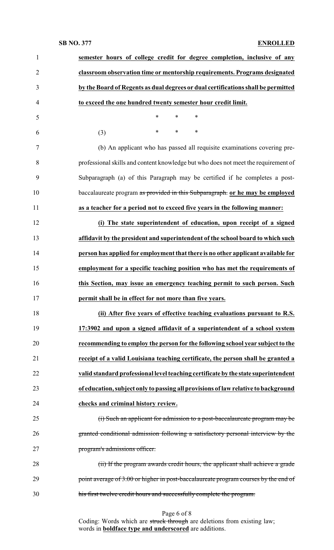| $\mathbf{1}$   | semester hours of college credit for degree completion, inclusive of any            |
|----------------|-------------------------------------------------------------------------------------|
| $\overline{2}$ | classroom observation time or mentorship requirements. Programs designated          |
| 3              | by the Board of Regents as dual degrees or dual certifications shall be permitted   |
| $\overline{4}$ | to exceed the one hundred twenty semester hour credit limit.                        |
| 5              | $\ast$<br>*<br>$\ast$                                                               |
| 6              | (3)<br>*<br>∗<br>∗                                                                  |
| $\tau$         | (b) An applicant who has passed all requisite examinations covering pre-            |
| 8              | professional skills and content knowledge but who does not meet the requirement of  |
| 9              | Subparagraph (a) of this Paragraph may be certified if he completes a post-         |
| 10             | baccalaureate program as provided in this Subparagraph. or he may be employed       |
| 11             | as a teacher for a period not to exceed five years in the following manner:         |
| 12             | (i) The state superintendent of education, upon receipt of a signed                 |
| 13             | affidavit by the president and superintendent of the school board to which such     |
| 14             | person has applied for employment that there is no other applicant available for    |
| 15             | employment for a specific teaching position who has met the requirements of         |
| 16             | this Section, may issue an emergency teaching permit to such person. Such           |
| 17             | permit shall be in effect for not more than five years.                             |
| 18             | (ii) After five years of effective teaching evaluations pursuant to R.S.            |
| 19             | 17:3902 and upon a signed affidavit of a superintendent of a school system          |
| 20             | recommending to employ the person for the following school year subject to the      |
| 21             | receipt of a valid Louisiana teaching certificate, the person shall be granted a    |
| 22             | valid standard professional level teaching certificate by the state superintendent  |
| 23             | of education, subject only to passing all provisions of law relative to background  |
| 24             | checks and criminal history review.                                                 |
| 25             | (i) Such an applicant for admission to a post-baccalaureate program may be          |
| 26             | granted conditional admission following a satisfactory personal interview by the    |
| 27             | program's admissions officer.                                                       |
| 28             | (ii) If the program awards credit hours, the applicant shall achieve a grade        |
| 29             | point average of 3.00 or higher in post-baccalaureate program courses by the end of |
| 30             | his first twelve credit hours and successfully complete the program.                |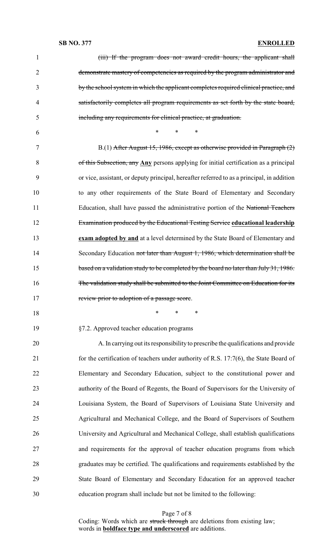| $\mathbf{1}$   | (iii) If the program does not award credit hours, the applicant shall                      |
|----------------|--------------------------------------------------------------------------------------------|
| $\overline{2}$ | demonstrate mastery of competencies as required by the program administrator and           |
| 3              | by the school system in which the applicant completes required clinical practice, and      |
| 4              | satisfactorily completes all program requirements as set forth by the state board,         |
| 5              | including any requirements for clinical practice, at graduation.                           |
| 6              | $\ast$<br>$\ast$<br>∗                                                                      |
| 7              | B.(1) After August 15, 1986, except as otherwise provided in Paragraph (2)                 |
| 8              | of this Subsection, any Any persons applying for initial certification as a principal      |
| 9              | or vice, assistant, or deputy principal, hereafter referred to as a principal, in addition |
| 10             | to any other requirements of the State Board of Elementary and Secondary                   |
| 11             | Education, shall have passed the administrative portion of the National Teachers           |
| 12             | Examination produced by the Educational Testing Service educational leadership             |
| 13             | exam adopted by and at a level determined by the State Board of Elementary and             |
| 14             | Secondary Education not later than August 1, 1986, which determination shall be            |
| 15             | based on a validation study to be completed by the board no later than July 31, 1986.      |
| 16             | The validation study shall be submitted to the Joint Committee on Education for its        |
| 17             | review prior to adoption of a passage score                                                |
| 18             | $\ast$<br>$\ast$<br>$\ast$                                                                 |
| 19             | §7.2. Approved teacher education programs                                                  |
| 20             | A. In carrying out its responsibility to prescribe the qualifications and provide          |
| 21             | for the certification of teachers under authority of R.S. 17:7(6), the State Board of      |
| 22             | Elementary and Secondary Education, subject to the constitutional power and                |
| 23             | authority of the Board of Regents, the Board of Supervisors for the University of          |
| 24             | Louisiana System, the Board of Supervisors of Louisiana State University and               |
| 25             | Agricultural and Mechanical College, and the Board of Supervisors of Southern              |
| 26             | University and Agricultural and Mechanical College, shall establish qualifications         |
| 27             | and requirements for the approval of teacher education programs from which                 |
| 28             | graduates may be certified. The qualifications and requirements established by the         |
| 29             | State Board of Elementary and Secondary Education for an approved teacher                  |
| 30             | education program shall include but not be limited to the following:                       |
|                |                                                                                            |

Page 7 of 8